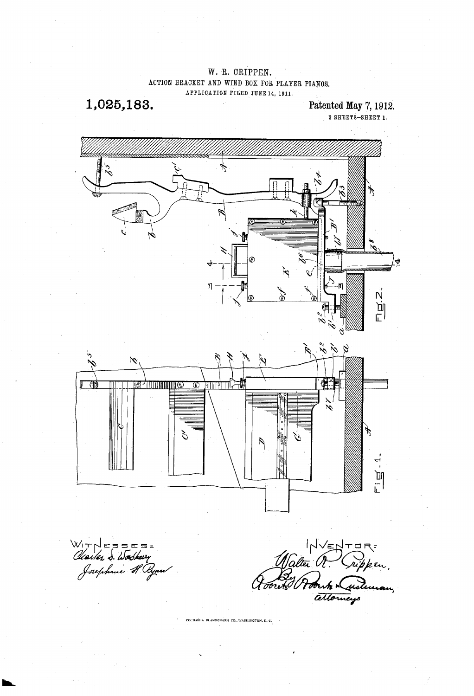## W. R. CRIPPEN. ACTION BRACKET AND WIND BOX FOR PLAYER PIANOS, APPLICATION FILED JUNE 14, 1911,

1,025,183. Patented May 7, 1912.

2. SHEETS-SHEET 1.





WINESSES-<br>Clientes 3. Docteur de Clientes de Clatter de Crippen<br>Josephine H Again de Cloud de Court de Court de Catholine

.<br>COLUMBIA PLANOGRAPH CO., WASHINGTON, D. C.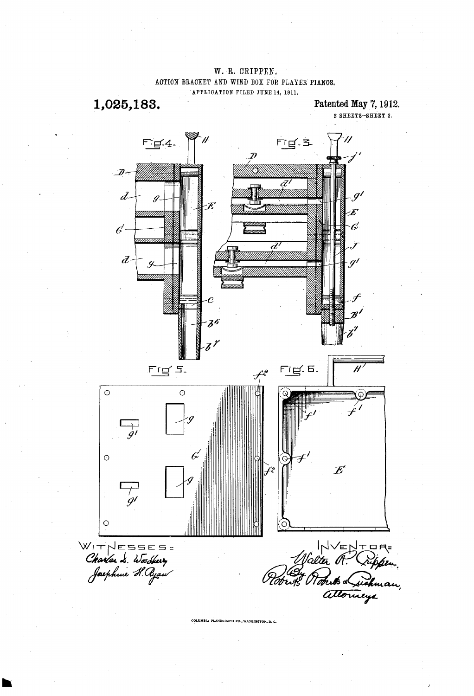W. R. CRIPPEN. ACTION BRACKET AND WIND BOX FOR PLAYER PIANOS. APPLICATION FILED JUNE 14, 1911.

1,025,183.

Patented May 7, 1912.  $2$  SHEETS-SHEET  $2$ .



COLUMBIA PLANOGRAPH CO., WASHINGTON, D. C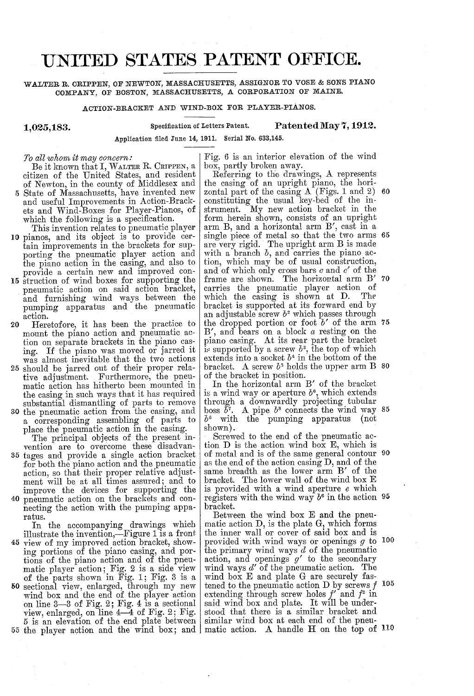## UNITED STATES PATENT OFFICE.

WALTER. R. CRIPPEN, OF NEWTON, MASSACHUSETTS, ASSIGNOR TO WOSE & SONS PIANO COMPANY, OF BOSTON, MASSACHUSETTS, A CORPORATION OF MAINE.

ACTION-BRACKET AND WIND-BOX, FOR PLAYER-PIANOS.

Application filed June 14, 1911, Serial No. 633,145.

1,025,183.

Specification of Letters Patent. Patented May 7, 1912.

To all whom it may concern:

Beit known that I, WALTER R. CRIPPEN, a citizen of the United States, and resident of Newton, in the county of Middlesex and 5 State of Massachusetts, have invented new and useful Improvements in Action-Brack

- which the following is a specification.<br>This invention relates to pneumatic player<br>10 pianos, and its object is to provide cer-<br>tain improvements in the brackets for sup-<br>porting the pneumatic player action and<br>the piano a provide a certain new and improved con-<br>15 struction of wind boxes for supporting the
- pneumatic action on said action bracket, and furnishing wind ways between the pumping apparatus and the pneumatic action.
- Heretofore, it has been the practice to mount the piano action and pneumatic action on separate brackets in the piano casing. If the piano was moved or jarred it was almost inevitable that the two actions 20
- tive adjustment. Furthermore, the pneu-<br>matic action has hitherto been mounted in<br>the casing in such ways that it has required the casing include substantial dismantling of parts to remove 25 should be jarred out of their proper rela-
- a corresponding assembling of parts to place the pneumatic action in the casing. 30 the pneumatic action from the casing, and

The principal objects of the present invention are to overcome these disadvan-

tages and provide a single action bracket 35 for both the piano action and the pneumatic action, so that their proper relative adjustment will be at all times assured; and to improve the devices for supporting the 40 pneumatic action on the brackets and connecting the action with the pumping appa-

ratus. In the accompanying drawings which illustrate the invention-Figure 1 is a front ing portions of the piano casing, and portions of the piano action and of the pneumatic player action; Fig. 2 is a side view of the parts shown in Fig. 1; Fig. 3 is a wind box and the end of the player action on line  $3-3$  of Fig. 2; Fig. 4 is a sectional view, enlarged, on line  $4-4$  of Fig. 2; Fig. 5 is an elevation of the end plate between 55 the player action and the wind box; and 45 50

Fig. 6 is an interior elevation of the wind box, partly broken away. Referring to the drawings, A represents the casing of an upright piano, the hori zontal part of the casing A (Figs. 1 and 2) constituting the usual key-bed of the instrument. My new action bracket in the form herein shown, consists of an upright arm B, and a horizontal arm B', cast in a single piece of metal so that the two arms 65 are very rigid. The upright arm B is made<br>with a branch  $b$ , and carries the piano acwith a branch b, and carries the piano action, which may be of usual construction, and of which only cross bars c and c' of the frame are shown. The horizontal arm B' 70 carries the pneumatic player action of which the casing is shown at D. The bracket is supported at its forward end by an adjustable screw  $b^2$  which passes through the dropped portion or foot  $b'$  of the arm 75 B', and bears on a block a resting on the piano casing. At its rear part the bracket is supported by a screw  $b^3$ , the top of which extends into a socket  $b^4$  in the bottom of the bracket. A screw  $b^5$  holds the upper arm B  $80$ 60

of the bracket in position.<br>In the horizontal arm B' of the bracket<br>is a wind way or aperture  $b^6$ , which extends through a downwardly projecting tubular boss  $b^7$ . A pipe  $b^8$  connects the wind way 85  $b^6$  with the pumping apparatus (not

shown).<br>Screwed to the end of the pneumatic action D is the action wind box E, which is tion D is the action wind box E, which is of metal and is of the same general contour 90 as the end of the action casing D, and of the same breadth as the lower arm B' of the bracket. The lower wall of the wind box  $E$  is provided with a wind aperture  $e$  which is provided with a wind aperture  $e$  which<br>registers with the wind way  $b^6$  in the action 95

bracket.<br>Between the wind box E and the pneumatic action  $D$ , is the plate  $G$ , which forms the inner wall or cover of said box and is the inner wall or cover of said box and is<br>provided with wind ways or openings g to 100 the primary wind ways  $d$  of the pneumatic action, and openings  $g'$  to the secondary wind ways  $d'$  of the pneumatic action. The wind box  $E$  and plate  $G$  are securely faswind box E and plate G are securely fas-<br>tened to the pneumatic action D by screws  $f$ <br>extending through screw holes  $f'$  and  $f^2$  in said wind box and plate. It will be understood that there is a similar bracket and similar wind box at each end of the pneu 05 matic action. A handle H on the top of 110